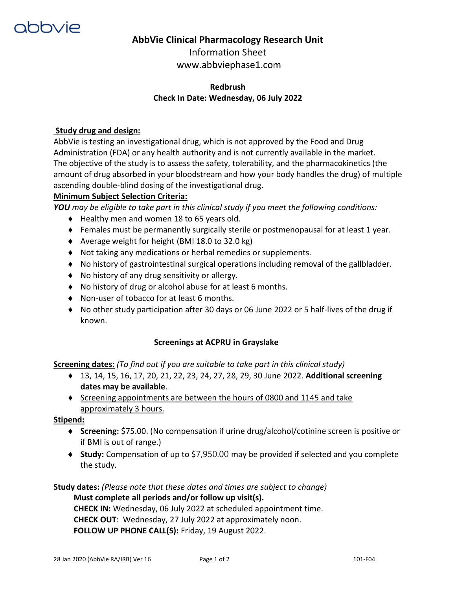

## **AbbVie Clinical Pharmacology Research Unit**

Information Sheet www.abbviephase1.com

## **Redbrush Check In Date: Wednesday, 06 July 2022**

### **Study drug and design:**

AbbVie is testing an investigational drug, which is not approved by the Food and Drug Administration (FDA) or any health authority and is not currently available in the market. The objective of the study is to assess the safety, tolerability, and the pharmacokinetics (the amount of drug absorbed in your bloodstream and how your body handles the drug) of multiple ascending double-blind dosing of the investigational drug.

### **Minimum Subject Selection Criteria:**

*YOU may be eligible to take part in this clinical study if you meet the following conditions:* 

- ◆ Healthy men and women 18 to 65 years old.
- Females must be permanently surgically sterile or postmenopausal for at least 1 year.
- ◆ Average weight for height (BMI 18.0 to 32.0 kg)
- Not taking any medications or herbal remedies or supplements.
- No history of gastrointestinal surgical operations including removal of the gallbladder.
- ◆ No history of any drug sensitivity or allergy.
- No history of drug or alcohol abuse for at least 6 months.
- ◆ Non-user of tobacco for at least 6 months.
- No other study participation after 30 days or 06 June 2022 or 5 half-lives of the drug if known.

#### **Screenings at ACPRU in Grayslake**

**Screening dates:** *(To find out if you are suitable to take part in this clinical study)*

- ◆ 13, 14, 15, 16, 17, 20, 21, 22, 23, 24, 27, 28, 29, 30 June 2022. **Additional screening dates may be available**.
- $\bullet$  Screening appointments are between the hours of 0800 and 1145 and take approximately 3 hours.

#### **Stipend:**

- **Screening:** \$75.00. (No compensation if urine drug/alcohol/cotinine screen is positive or if BMI is out of range.)
- **Study:** Compensation of up to \$7,950.00 may be provided if selected and you complete the study.

## **Study dates:** *(Please note that these dates and times are subject to change)*

**Must complete all periods and/or follow up visit(s).**

**CHECK IN:** Wednesday, 06 July 2022 at scheduled appointment time. **CHECK OUT**: Wednesday, 27 July 2022 at approximately noon. **FOLLOW UP PHONE CALL(S):** Friday, 19 August 2022.